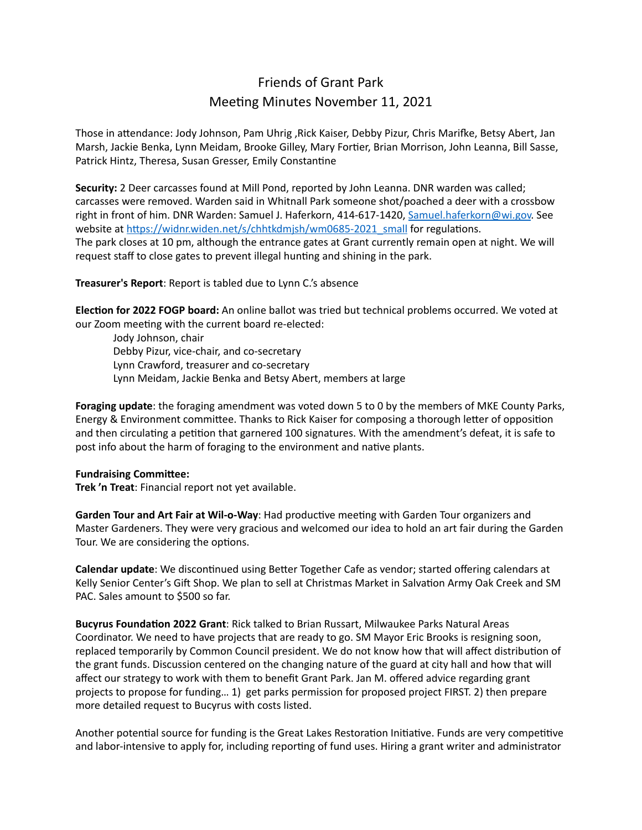## Friends of Grant Park Meeting Minutes November 11, 2021

Those in attendance: Jody Johnson, Pam Uhrig ,Rick Kaiser, Debby Pizur, Chris Marifke, Betsy Abert, Jan Marsh, Jackie Benka, Lynn Meidam, Brooke Gilley, Mary Fortier, Brian Morrison, John Leanna, Bill Sasse, Patrick Hintz, Theresa, Susan Gresser, Emily Constantine

**Security:** 2 Deer carcasses found at Mill Pond, reported by John Leanna. DNR warden was called; carcasses were removed. Warden said in Whitnall Park someone shot/poached a deer with a crossbow right in front of him. DNR Warden: Samuel J. Haferkorn, 414-617-1420, [Samuel.haferkorn@wi.gov.](mailto:Samuel.haferkorn@wi.gov) See website at [https://widnr.widen.net/s/chhtkdmjsh/wm0685-2021\\_small](https://widnr.widen.net/s/chhtkdmjsh/wm0685-2021_small) for regulations. The park closes at 10 pm, although the entrance gates at Grant currently remain open at night. We will request staff to close gates to prevent illegal hunting and shining in the park.

**Treasurer's Report**: Report is tabled due to Lynn C.'s absence

**Election for 2022 FOGP board:** An online ballot was tried but technical problems occurred. We voted at our Zoom meeting with the current board re-elected:

Jody Johnson, chair Debby Pizur, vice-chair, and co-secretary Lynn Crawford, treasurer and co-secretary Lynn Meidam, Jackie Benka and Betsy Abert, members at large

**Foraging update**: the foraging amendment was voted down 5 to 0 by the members of MKE County Parks, Energy & Environment committee. Thanks to Rick Kaiser for composing a thorough letter of opposition and then circulating a petition that garnered 100 signatures. With the amendment's defeat, it is safe to post info about the harm of foraging to the environment and native plants.

## **Fundraising Committee:**

**Trek 'n Treat**: Financial report not yet available.

**Garden Tour and Art Fair at Wil-o-Way**: Had productive meeting with Garden Tour organizers and Master Gardeners. They were very gracious and welcomed our idea to hold an art fair during the Garden Tour. We are considering the options.

**Calendar update**: We discontinued using Better Together Cafe as vendor; started offering calendars at Kelly Senior Center's Gift Shop. We plan to sell at Christmas Market in Salvation Army Oak Creek and SM PAC. Sales amount to \$500 so far.

**Bucyrus Foundation 2022 Grant**: Rick talked to Brian Russart, Milwaukee Parks Natural Areas Coordinator. We need to have projects that are ready to go. SM Mayor Eric Brooks is resigning soon, replaced temporarily by Common Council president. We do not know how that will affect distribution of the grant funds. Discussion centered on the changing nature of the guard at city hall and how that will affect our strategy to work with them to benefit Grant Park. Jan M. offered advice regarding grant projects to propose for funding… 1) get parks permission for proposed project FIRST. 2) then prepare more detailed request to Bucyrus with costs listed.

Another potential source for funding is the Great Lakes Restoration Initiative. Funds are very competitive and labor-intensive to apply for, including reporting of fund uses. Hiring a grant writer and administrator